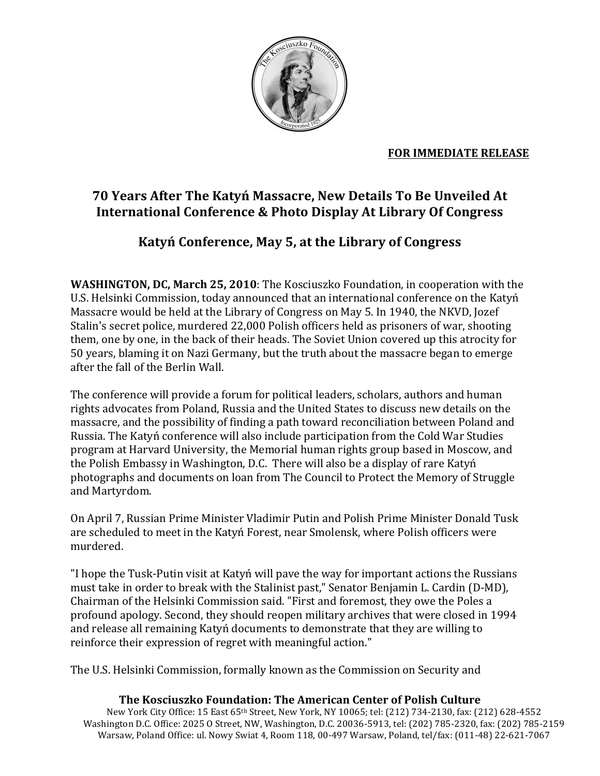

### **FOR IMMEDIATE RELEASE**

# 70 Years After The Katyń Massacre, New Details To Be Unveiled At International Conference & Photo Display At Library Of Congress

# Katyń Conference, May 5, at the Library of Congress

**WASHINGTON, DC, March 25, 2010**: The Kosciuszko Foundation, in cooperation with the U.S. Helsinki Commission, today announced that an international conference on the Katyń Massacre would be held at the Library of Congress on May 5. In 1940, the NKVD, Jozef Stalin's secret police, murdered 22,000 Polish officers held as prisoners of war, shooting them, one by one, in the back of their heads. The Soviet Union covered up this atrocity for 50 years, blaming it on Nazi Germany, but the truth about the massacre began to emerge after the fall of the Berlin Wall.

The conference will provide a forum for political leaders, scholars, authors and human rights advocates from Poland, Russia and the United States to discuss new details on the massacre, and the possibility of finding a path toward reconciliation between Poland and Russia. The Katyń conference will also include participation from the Cold War Studies program at Harvard University, the Memorial human rights group based in Moscow, and the Polish Embassy in Washington, D.C. There will also be a display of rare Katyń photographs and documents on loan from The Council to Protect the Memory of Struggle and Martyrdom.

On April 7, Russian Prime Minister Vladimir Putin and Polish Prime Minister Donald Tusk are scheduled to meet in the Katyn Forest, near Smolensk, where Polish officers were murdered.

"I hope the Tusk-Putin visit at Katyń will pave the way for important actions the Russians must take in order to break with the Stalinist past," Senator Benjamin L. Cardin (D-MD), Chairman of the Helsinki Commission said. "First and foremost, they owe the Poles a profound apology. Second, they should reopen military archives that were closed in 1994 and release all remaining Katyń documents to demonstrate that they are willing to reinforce their expression of regret with meaningful action."

The U.S. Helsinki Commission, formally known as the Commission on Security and

#### The Kosciuszko Foundation: The American Center of Polish Culture

New York City Office: 15 East 65th Street, New York, NY 10065; tel: (212) 734-2130, fax: (212) 628-4552 Washington D.C. Office: 2025 O Street, NW, Washington, D.C. 20036-5913, tel: (202) 785-2320, fax: (202) 785-2159 Warsaw, Poland Office: ul. Nowy Swiat 4, Room 118, 00-497 Warsaw, Poland, tel/fax: (011-48) 22-621-7067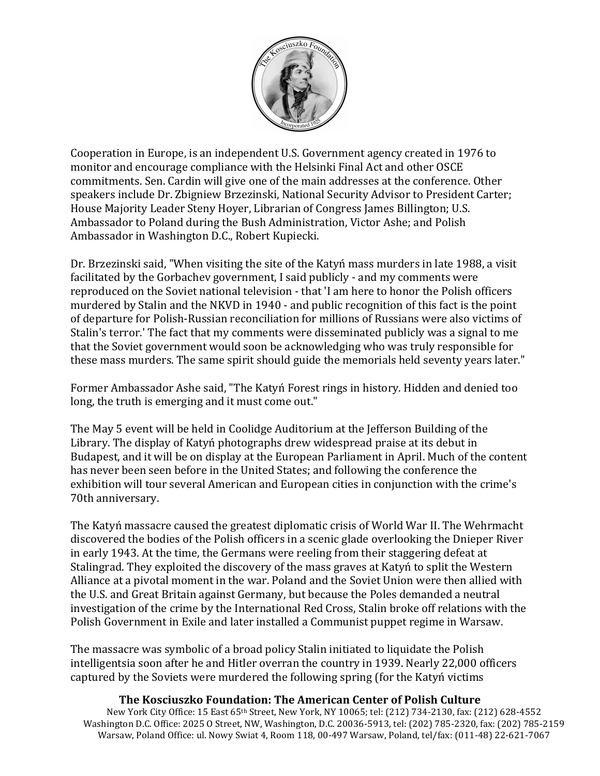

Cooperation in Europe, is an independent U.S. Government agency created in 1976 to monitor and encourage compliance with the Helsinki Final Act and other OSCE commitments. Sen. Cardin will give one of the main addresses at the conference. Other speakers include Dr. Zbigniew Brzezinski, National Security Advisor to President Carter; House Majority Leader Steny Hoyer, Librarian of Congress James Billington; U.S. Ambassador to Poland during the Bush Administration, Victor Ashe; and Polish Ambassador in Washington D.C., Robert Kupiecki.

Dr. Brzezinski said, "When visiting the site of the Katyń mass murders in late 1988, a visit facilitated by the Gorbachev government, I said publicly - and my comments were reproduced on the Soviet national television - that 'I am here to honor the Polish officers murdered by Stalin and the NKVD in 1940 - and public recognition of this fact is the point of departure for Polish-Russian reconciliation for millions of Russians were also victims of Stalin's terror.' The fact that my comments were disseminated publicly was a signal to me that the Soviet government would soon be acknowledging who was truly responsible for these mass murders. The same spirit should guide the memorials held seventy years later."

Former Ambassador Ashe said, "The Katyń Forest rings in history. Hidden and denied too long, the truth is emerging and it must come out."

The May 5 event will be held in Coolidge Auditorium at the Jefferson Building of the Library. The display of Katyń photographs drew widespread praise at its debut in Budapest, and it will be on display at the European Parliament in April. Much of the content has never been seen before in the United States; and following the conference the exhibition will tour several American and European cities in conjunction with the crime's 70th anniversary.

The Katyń massacre caused the greatest diplomatic crisis of World War II. The Wehrmacht discovered the bodies of the Polish officers in a scenic glade overlooking the Dnieper River in early 1943. At the time, the Germans were reeling from their staggering defeat at Stalingrad. They exploited the discovery of the mass graves at Katyń to split the Western Alliance at a pivotal moment in the war. Poland and the Soviet Union were then allied with the U.S. and Great Britain against Germany, but because the Poles demanded a neutral investigation of the crime by the International Red Cross, Stalin broke off relations with the Polish Government in Exile and later installed a Communist puppet regime in Warsaw.

The massacre was symbolic of a broad policy Stalin initiated to liquidate the Polish intelligentsia soon after he and Hitler overran the country in 1939. Nearly 22,000 officers captured by the Soviets were murdered the following spring (for the Katyń victims

#### **The Kosciuszko Foundation: The American Center of Polish Culture**

New York City Office: 15 East 65th Street, New York, NY 10065; tel: (212) 734-2130, fax: (212) 628-4552 Washington D.C. Office: 2025 O Street, NW, Washington, D.C. 20036-5913, tel: (202) 785-2320, fax: (202) 785-2159 Warsaw, Poland Office: ul. Nowy Swiat 4, Room 118, 00-497 Warsaw, Poland, tel/fax: (011-48) 22-621-7067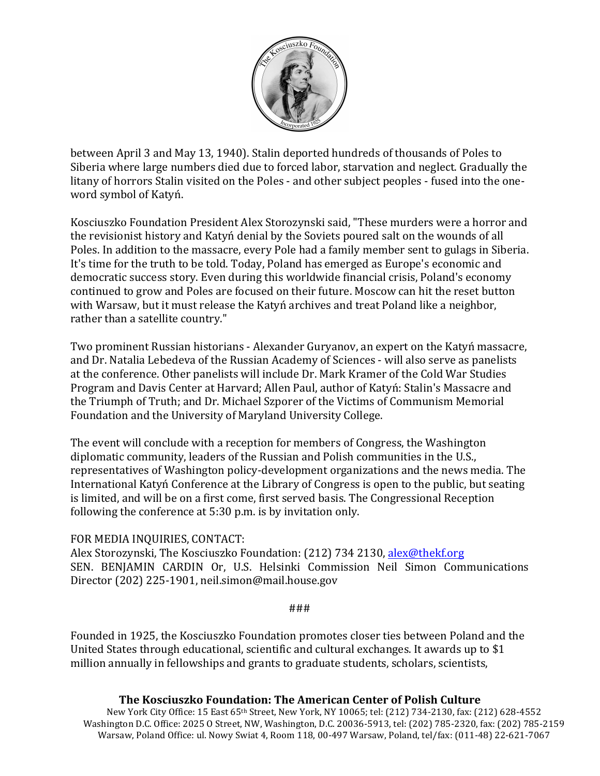

between April 3 and May 13, 1940). Stalin deported hundreds of thousands of Poles to Siberia where large numbers died due to forced labor, starvation and neglect. Gradually the litany of horrors Stalin visited on the Poles - and other subject peoples - fused into the oneword symbol of Katyń.

Kosciuszko Foundation President Alex Storozynski said, "These murders were a horror and the revisionist history and Katyń denial by the Soviets poured salt on the wounds of all Poles. In addition to the massacre, every Pole had a family member sent to gulags in Siberia. It's time for the truth to be told. Today, Poland has emerged as Europe's economic and democratic success story. Even during this worldwide financial crisis, Poland's economy continued to grow and Poles are focused on their future. Moscow can hit the reset button with Warsaw, but it must release the Katyń archives and treat Poland like a neighbor, rather than a satellite country."

Two prominent Russian historians - Alexander Guryanov, an expert on the Katyń massacre, and Dr. Natalia Lebedeva of the Russian Academy of Sciences - will also serve as panelists at the conference. Other panelists will include Dr. Mark Kramer of the Cold War Studies Program and Davis Center at Harvard; Allen Paul, author of Katyń: Stalin's Massacre and the Triumph of Truth; and Dr. Michael Szporer of the Victims of Communism Memorial Foundation and the University of Maryland University College.

The event will conclude with a reception for members of Congress, the Washington diplomatic community, leaders of the Russian and Polish communities in the U.S., representatives of Washington policy-development organizations and the news media. The International Katyń Conference at the Library of Congress is open to the public, but seating is limited, and will be on a first come, first served basis. The Congressional Reception following the conference at  $5:30$  p.m. is by invitation only.

#### FOR MEDIA INQUIRIES, CONTACT:

Alex Storozynski, The Kosciuszko Foundation: (212) 734 2130, alex@thekf.org SEN. BENJAMIN CARDIN Or, U.S. Helsinki Commission Neil Simon Communications Director (202) 225-1901, neil.simon@mail.house.gov

###

Founded in 1925, the Kosciuszko Foundation promotes closer ties between Poland and the United States through educational, scientific and cultural exchanges. It awards up to  $$1$ million annually in fellowships and grants to graduate students, scholars, scientists,

#### **The Kosciuszko Foundation: The American Center of Polish Culture**

New York City Office: 15 East 65<sup>th</sup> Street, New York, NY 10065; tel: (212) 734-2130, fax: (212) 628-4552 Washington D.C. Office: 2025 O Street, NW, Washington, D.C. 20036-5913, tel: (202) 785-2320, fax: (202) 785-2159 Warsaw, Poland Office: ul. Nowy Swiat 4, Room 118, 00-497 Warsaw, Poland, tel/fax: (011-48) 22-621-7067